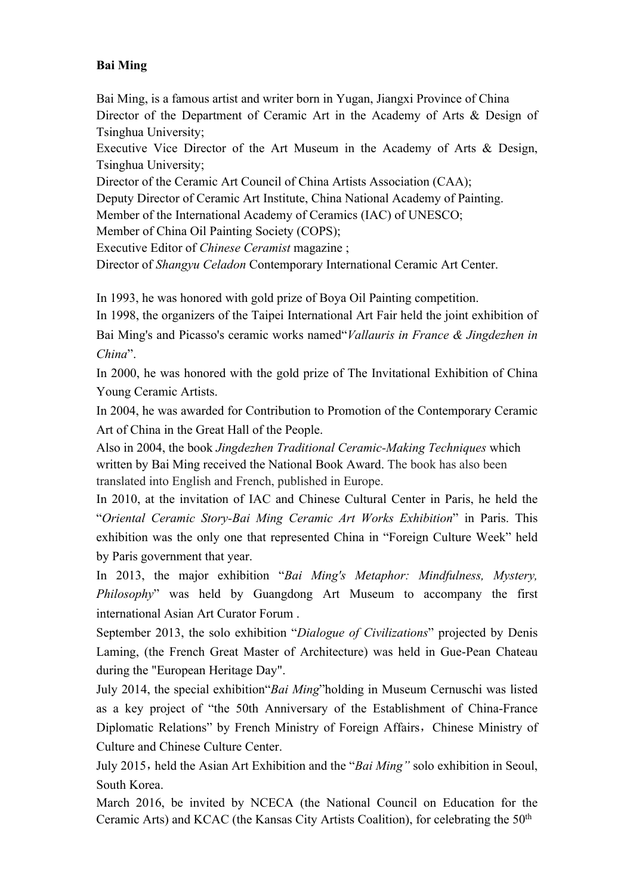## **Bai Ming**

Bai Ming, is a famous artist and writer born in Yugan, Jiangxi Province of China Director of the Department of Ceramic Art in the Academy of Arts & Design of Tsinghua University;

Executive Vice Director of the Art Museum in the Academy of Arts & Design, Tsinghua University;

Director of the Ceramic Art Council of China Artists Association (CAA);

Deputy Director of Ceramic Art Institute, China National Academy of Painting.

Member of the International Academy of Ceramics (IAC) of UNESCO;

Member of China Oil Painting Society (COPS);

Executive Editor of *Chinese Ceramist* magazine ;

Director of *Shangyu Celadon* Contemporary International Ceramic Art Center.

In 1993, he was honored with gold prize of Boya Oil Painting competition.

In 1998, the organizers of the Taipei International Art Fair held the joint exhibition of Bai Ming's and Picasso's ceramic works named"*Vallauris in France & Jingdezhen in China*".

In 2000, he was honored with the gold prize of The Invitational Exhibition of China Young Ceramic Artists.

In 2004, he was awarded for Contribution to Promotion of the Contemporary Ceramic Art of China in the Great Hall of the People.

Also in 2004, the book *Jingdezhen Traditional Ceramic-Making Techniques* which written by Bai Ming received the National Book Award. The book has also been translated into English and French, published in Europe.

In 2010, at the invitation of IAC and Chinese Cultural Center in Paris, he held the "*Oriental Ceramic Story-Bai Ming Ceramic Art Works Exhibition*" in Paris. This exhibition was the only one that represented China in "Foreign Culture Week" held by Paris government that year.

In 2013, the major exhibition "*Bai Ming's Metaphor: Mindfulness, Mystery, Philosophy*" was held by Guangdong Art Museum to accompany the first international Asian Art Curator Forum .

September 2013, the solo exhibition "*Dialogue of Civilizations*" projected by Denis Laming, (the French Great Master of Architecture) was held in Gue-Pean Chateau during the "European Heritage Day".

July 2014, the special exhibition"*Bai Ming*"holding in Museum Cernuschi was listed as a key project of "the 50th Anniversary of the Establishment of China-France Diplomatic Relations" by French Ministry of Foreign Affairs, Chinese Ministry of Culture and Chinese Culture Center.

July 2015, held the Asian Art Exhibition and the "*Bai Ming*" solo exhibition in Seoul, South Korea.

March 2016, be invited by NCECA (the National Council on Education for the Ceramic Arts) and KCAC (the Kansas City Artists Coalition), for celebrating the 50<sup>th</sup>